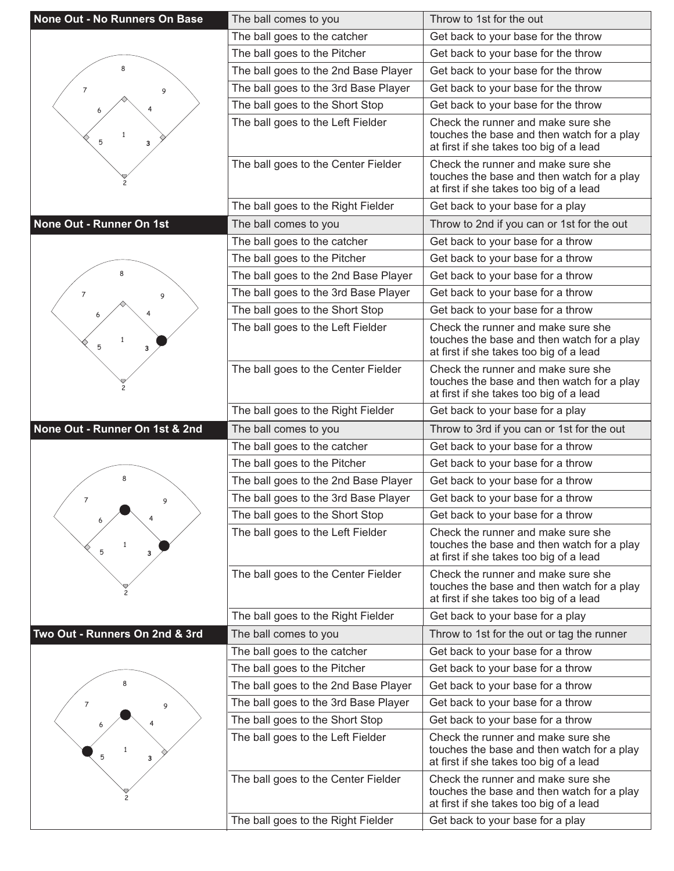| None Out - No Runners On Base  | The ball comes to you                                                     | Throw to 1st for the out                                                                                                                                        |
|--------------------------------|---------------------------------------------------------------------------|-----------------------------------------------------------------------------------------------------------------------------------------------------------------|
|                                | The ball goes to the catcher                                              | Get back to your base for the throw                                                                                                                             |
|                                | The ball goes to the Pitcher                                              | Get back to your base for the throw                                                                                                                             |
| 8                              | The ball goes to the 2nd Base Player                                      | Get back to your base for the throw                                                                                                                             |
| $\overline{7}$<br>9            | The ball goes to the 3rd Base Player                                      | Get back to your base for the throw                                                                                                                             |
|                                | The ball goes to the Short Stop                                           | Get back to your base for the throw                                                                                                                             |
| $\mathbf{1}$<br>5<br>3         | The ball goes to the Left Fielder                                         | Check the runner and make sure she<br>touches the base and then watch for a play<br>at first if she takes too big of a lead                                     |
|                                | The ball goes to the Center Fielder                                       | Check the runner and make sure she<br>touches the base and then watch for a play<br>at first if she takes too big of a lead                                     |
|                                | The ball goes to the Right Fielder                                        | Get back to your base for a play                                                                                                                                |
| None Out - Runner On 1st       | The ball comes to you                                                     | Throw to 2nd if you can or 1st for the out                                                                                                                      |
|                                | The ball goes to the catcher                                              | Get back to your base for a throw                                                                                                                               |
|                                | The ball goes to the Pitcher                                              | Get back to your base for a throw                                                                                                                               |
|                                | The ball goes to the 2nd Base Player                                      | Get back to your base for a throw                                                                                                                               |
| $\overline{7}$<br>9            | The ball goes to the 3rd Base Player                                      | Get back to your base for a throw                                                                                                                               |
|                                | The ball goes to the Short Stop                                           | Get back to your base for a throw                                                                                                                               |
| $\mathbf{1}$<br>5<br>3         | The ball goes to the Left Fielder                                         | Check the runner and make sure she<br>touches the base and then watch for a play<br>at first if she takes too big of a lead                                     |
|                                | The ball goes to the Center Fielder                                       | Check the runner and make sure she<br>touches the base and then watch for a play<br>at first if she takes too big of a lead                                     |
|                                | The ball goes to the Right Fielder                                        | Get back to your base for a play                                                                                                                                |
|                                |                                                                           |                                                                                                                                                                 |
| None Out - Runner On 1st & 2nd | The ball comes to you                                                     | Throw to 3rd if you can or 1st for the out                                                                                                                      |
|                                | The ball goes to the catcher                                              | Get back to your base for a throw                                                                                                                               |
|                                | The ball goes to the Pitcher                                              | Get back to your base for a throw                                                                                                                               |
| 8                              | The ball goes to the 2nd Base Player                                      | Get back to your base for a throw                                                                                                                               |
| 7<br>9                         | The ball goes to the 3rd Base Player                                      | Get back to your base for a throw                                                                                                                               |
| 6                              | The ball goes to the Short Stop                                           | Get back to your base for a throw                                                                                                                               |
| $\mathbf{1}$<br>5<br>3         | The ball goes to the Left Fielder                                         | Check the runner and make sure she<br>touches the base and then watch for a play<br>at first if she takes too big of a lead                                     |
|                                | The ball goes to the Center Fielder                                       | Check the runner and make sure she<br>touches the base and then watch for a play<br>at first if she takes too big of a lead                                     |
|                                | The ball goes to the Right Fielder                                        | Get back to your base for a play                                                                                                                                |
| Two Out - Runners On 2nd & 3rd | The ball comes to you                                                     | Throw to 1st for the out or tag the runner                                                                                                                      |
|                                | The ball goes to the catcher                                              | Get back to your base for a throw                                                                                                                               |
|                                | The ball goes to the Pitcher                                              | Get back to your base for a throw                                                                                                                               |
|                                | The ball goes to the 2nd Base Player                                      | Get back to your base for a throw                                                                                                                               |
| 7<br>9                         | The ball goes to the 3rd Base Player                                      | Get back to your base for a throw                                                                                                                               |
|                                | The ball goes to the Short Stop                                           | Get back to your base for a throw                                                                                                                               |
| 5<br>3                         | The ball goes to the Left Fielder                                         | Check the runner and make sure she<br>touches the base and then watch for a play<br>at first if she takes too big of a lead                                     |
|                                | The ball goes to the Center Fielder<br>The ball goes to the Right Fielder | Check the runner and make sure she<br>touches the base and then watch for a play<br>at first if she takes too big of a lead<br>Get back to your base for a play |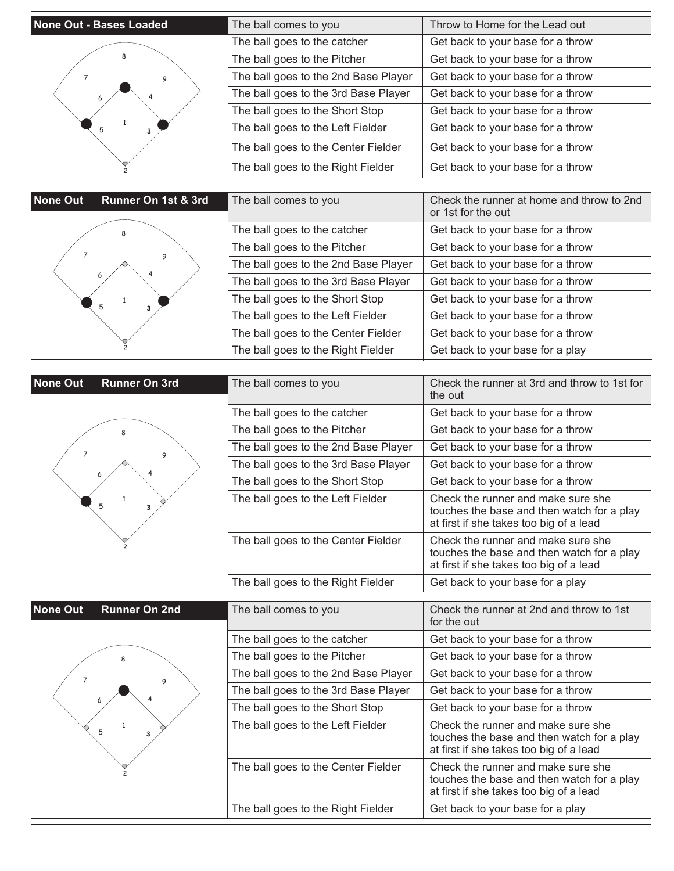| <b>None Out - Bases Loaded</b>          | The ball comes to you                | Throw to Home for the Lead out                                                                                              |
|-----------------------------------------|--------------------------------------|-----------------------------------------------------------------------------------------------------------------------------|
|                                         | The ball goes to the catcher         | Get back to your base for a throw                                                                                           |
|                                         | The ball goes to the Pitcher         | Get back to your base for a throw                                                                                           |
| 7<br>9                                  | The ball goes to the 2nd Base Player | Get back to your base for a throw                                                                                           |
|                                         | The ball goes to the 3rd Base Player | Get back to your base for a throw                                                                                           |
|                                         | The ball goes to the Short Stop      | Get back to your base for a throw                                                                                           |
| 5<br>3                                  | The ball goes to the Left Fielder    | Get back to your base for a throw                                                                                           |
|                                         | The ball goes to the Center Fielder  | Get back to your base for a throw                                                                                           |
|                                         | The ball goes to the Right Fielder   | Get back to your base for a throw                                                                                           |
|                                         |                                      |                                                                                                                             |
| <b>None Out</b><br>Runner On 1st & 3rd  | The ball comes to you                | Check the runner at home and throw to 2nd<br>or 1st for the out                                                             |
|                                         | The ball goes to the catcher         | Get back to your base for a throw                                                                                           |
| 7<br>9                                  | The ball goes to the Pitcher         | Get back to your base for a throw                                                                                           |
|                                         | The ball goes to the 2nd Base Player | Get back to your base for a throw                                                                                           |
|                                         | The ball goes to the 3rd Base Player | Get back to your base for a throw                                                                                           |
| $\mathbf{1}$<br>5<br>3                  | The ball goes to the Short Stop      | Get back to your base for a throw                                                                                           |
|                                         | The ball goes to the Left Fielder    | Get back to your base for a throw                                                                                           |
|                                         | The ball goes to the Center Fielder  | Get back to your base for a throw                                                                                           |
|                                         | The ball goes to the Right Fielder   | Get back to your base for a play                                                                                            |
|                                         |                                      |                                                                                                                             |
| <b>None Out</b><br><b>Runner On 3rd</b> | The ball comes to you                | Check the runner at 3rd and throw to 1st for<br>the out                                                                     |
|                                         | The ball goes to the catcher         | Get back to your base for a throw                                                                                           |
|                                         | The ball goes to the Pitcher         | Get back to your base for a throw                                                                                           |
| 7<br>9                                  | The ball goes to the 2nd Base Player | Get back to your base for a throw                                                                                           |
|                                         | The ball goes to the 3rd Base Player | Get back to your base for a throw                                                                                           |
|                                         | The ball goes to the Short Stop      | Get back to your base for a throw                                                                                           |
|                                         | The ball goes to the Left Fielder    | Check the runner and make sure she<br>touches the base and then watch for a play<br>at first if she takes too big of a lead |
|                                         | The ball goes to the Center Fielder  | Check the runner and make sure she<br>touches the base and then watch for a play<br>at first if she takes too big of a lead |
|                                         | The ball goes to the Right Fielder   | Get back to your base for a play                                                                                            |
| <b>None Out</b><br><b>Runner On 2nd</b> | The ball comes to you                | Check the runner at 2nd and throw to 1st<br>for the out                                                                     |
|                                         | The ball goes to the catcher         | Get back to your base for a throw                                                                                           |
|                                         | The ball goes to the Pitcher         | Get back to your base for a throw                                                                                           |
| $\overline{7}$                          | The ball goes to the 2nd Base Player | Get back to your base for a throw                                                                                           |
| 9                                       | The ball goes to the 3rd Base Player | Get back to your base for a throw                                                                                           |
|                                         | The ball goes to the Short Stop      | Get back to your base for a throw                                                                                           |
| $\mathbf{1}$<br>5<br>з                  | The ball goes to the Left Fielder    | Check the runner and make sure she<br>touches the base and then watch for a play<br>at first if she takes too big of a lead |
|                                         | The ball goes to the Center Fielder  | Check the runner and make sure she<br>touches the base and then watch for a play<br>at first if she takes too big of a lead |
|                                         | The ball goes to the Right Fielder   | Get back to your base for a play                                                                                            |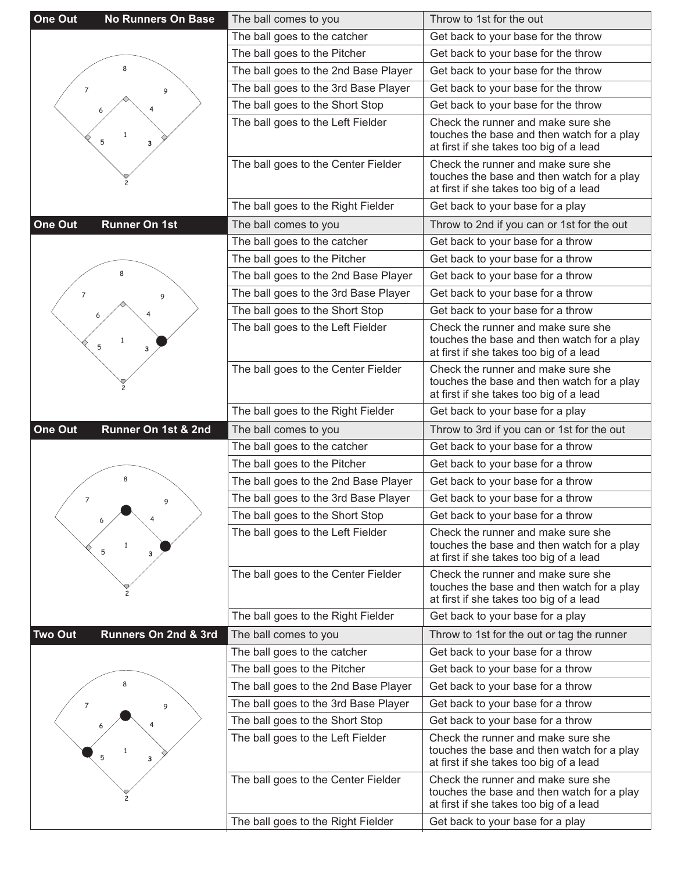| One Out<br><b>No Runners On Base</b>   | The ball comes to you                | Throw to 1st for the out                                                                                                    |
|----------------------------------------|--------------------------------------|-----------------------------------------------------------------------------------------------------------------------------|
|                                        | The ball goes to the catcher         | Get back to your base for the throw                                                                                         |
|                                        | The ball goes to the Pitcher         | Get back to your base for the throw                                                                                         |
| 8                                      | The ball goes to the 2nd Base Player | Get back to your base for the throw                                                                                         |
| 7<br>9                                 | The ball goes to the 3rd Base Player | Get back to your base for the throw                                                                                         |
|                                        | The ball goes to the Short Stop      | Get back to your base for the throw                                                                                         |
| 5<br>3                                 | The ball goes to the Left Fielder    | Check the runner and make sure she<br>touches the base and then watch for a play<br>at first if she takes too big of a lead |
|                                        | The ball goes to the Center Fielder  | Check the runner and make sure she<br>touches the base and then watch for a play<br>at first if she takes too big of a lead |
|                                        | The ball goes to the Right Fielder   | Get back to your base for a play                                                                                            |
| One Out<br><b>Runner On 1st</b>        | The ball comes to you                | Throw to 2nd if you can or 1st for the out                                                                                  |
|                                        | The ball goes to the catcher         | Get back to your base for a throw                                                                                           |
|                                        | The ball goes to the Pitcher         | Get back to your base for a throw                                                                                           |
|                                        | The ball goes to the 2nd Base Player | Get back to your base for a throw                                                                                           |
| $\overline{7}$<br>9                    | The ball goes to the 3rd Base Player | Get back to your base for a throw                                                                                           |
|                                        | The ball goes to the Short Stop      | Get back to your base for a throw                                                                                           |
| $\mathbf{1}$<br>5<br>3                 | The ball goes to the Left Fielder    | Check the runner and make sure she<br>touches the base and then watch for a play<br>at first if she takes too big of a lead |
|                                        | The ball goes to the Center Fielder  | Check the runner and make sure she<br>touches the base and then watch for a play<br>at first if she takes too big of a lead |
|                                        | The ball goes to the Right Fielder   | Get back to your base for a play                                                                                            |
|                                        |                                      |                                                                                                                             |
| One Out<br>Runner On 1st & 2nd         | The ball comes to you                | Throw to 3rd if you can or 1st for the out                                                                                  |
|                                        | The ball goes to the catcher         | Get back to your base for a throw                                                                                           |
|                                        | The ball goes to the Pitcher         | Get back to your base for a throw                                                                                           |
| 8                                      | The ball goes to the 2nd Base Player | Get back to your base for a throw                                                                                           |
| $\overline{7}$<br>9                    | The ball goes to the 3rd Base Player | Get back to your base for a throw                                                                                           |
|                                        | The ball goes to the Short Stop      | Get back to your base for a throw                                                                                           |
| 5<br>3                                 | The ball goes to the Left Fielder    | Check the runner and make sure she<br>touches the base and then watch for a play<br>at first if she takes too big of a lead |
|                                        | The ball goes to the Center Fielder  | Check the runner and make sure she<br>touches the base and then watch for a play<br>at first if she takes too big of a lead |
|                                        | The ball goes to the Right Fielder   | Get back to your base for a play                                                                                            |
| <b>Two Out</b><br>Runners On 2nd & 3rd | The ball comes to you                | Throw to 1st for the out or tag the runner                                                                                  |
|                                        | The ball goes to the catcher         | Get back to your base for a throw                                                                                           |
|                                        | The ball goes to the Pitcher         | Get back to your base for a throw                                                                                           |
|                                        | The ball goes to the 2nd Base Player | Get back to your base for a throw                                                                                           |
| $\overline{7}$<br>9                    | The ball goes to the 3rd Base Player | Get back to your base for a throw                                                                                           |
|                                        | The ball goes to the Short Stop      | Get back to your base for a throw                                                                                           |
| 5<br>3                                 | The ball goes to the Left Fielder    | Check the runner and make sure she<br>touches the base and then watch for a play<br>at first if she takes too big of a lead |
|                                        | The ball goes to the Center Fielder  | Check the runner and make sure she<br>touches the base and then watch for a play<br>at first if she takes too big of a lead |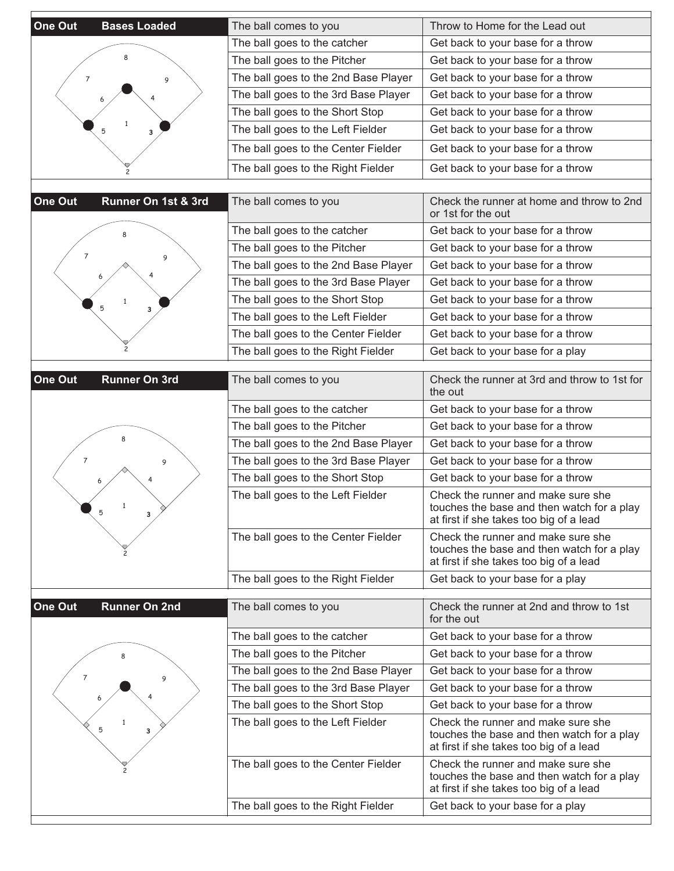| One Out<br><b>Bases Loaded</b>  | The ball comes to you                | Throw to Home for the Lead out                                                                                              |
|---------------------------------|--------------------------------------|-----------------------------------------------------------------------------------------------------------------------------|
|                                 | The ball goes to the catcher         | Get back to your base for a throw                                                                                           |
|                                 | The ball goes to the Pitcher         | Get back to your base for a throw                                                                                           |
| 7<br>9                          | The ball goes to the 2nd Base Player | Get back to your base for a throw                                                                                           |
|                                 | The ball goes to the 3rd Base Player | Get back to your base for a throw                                                                                           |
|                                 | The ball goes to the Short Stop      | Get back to your base for a throw                                                                                           |
|                                 | The ball goes to the Left Fielder    | Get back to your base for a throw                                                                                           |
|                                 | The ball goes to the Center Fielder  | Get back to your base for a throw                                                                                           |
|                                 | The ball goes to the Right Fielder   | Get back to your base for a throw                                                                                           |
|                                 |                                      |                                                                                                                             |
| One Out<br>Runner On 1st & 3rd  | The ball comes to you                | Check the runner at home and throw to 2nd<br>or 1st for the out                                                             |
|                                 | The ball goes to the catcher         | Get back to your base for a throw                                                                                           |
| 7<br>9                          | The ball goes to the Pitcher         | Get back to your base for a throw                                                                                           |
|                                 | The ball goes to the 2nd Base Player | Get back to your base for a throw                                                                                           |
|                                 | The ball goes to the 3rd Base Player | Get back to your base for a throw                                                                                           |
| 5<br>3                          | The ball goes to the Short Stop      | Get back to your base for a throw                                                                                           |
|                                 | The ball goes to the Left Fielder    | Get back to your base for a throw                                                                                           |
|                                 | The ball goes to the Center Fielder  | Get back to your base for a throw                                                                                           |
|                                 | The ball goes to the Right Fielder   | Get back to your base for a play                                                                                            |
| One Out<br><b>Runner On 3rd</b> | The ball comes to you                | Check the runner at 3rd and throw to 1st for<br>the out                                                                     |
|                                 | The ball goes to the catcher         | Get back to your base for a throw                                                                                           |
|                                 | The ball goes to the Pitcher         | Get back to your base for a throw                                                                                           |
|                                 | The ball goes to the 2nd Base Player | Get back to your base for a throw                                                                                           |
| $\overline{7}$<br>9             | The ball goes to the 3rd Base Player | Get back to your base for a throw                                                                                           |
|                                 | The ball goes to the Short Stop      | Get back to your base for a throw                                                                                           |
| 5<br>з                          | The ball goes to the Left Fielder    | Check the runner and make sure she<br>touches the base and then watch for a play<br>at first if she takes too big of a lead |
|                                 | The ball goes to the Center Fielder  | Check the runner and make sure she<br>touches the base and then watch for a play<br>at first if she takes too big of a lead |
|                                 | The ball goes to the Right Fielder   | Get back to your base for a play                                                                                            |
| One Out<br><b>Runner On 2nd</b> | The ball comes to you                | Check the runner at 2nd and throw to 1st<br>for the out                                                                     |
|                                 | The ball goes to the catcher         | Get back to your base for a throw                                                                                           |
|                                 | The ball goes to the Pitcher         | Get back to your base for a throw                                                                                           |
| $\overline{7}$<br>9             | The ball goes to the 2nd Base Player | Get back to your base for a throw                                                                                           |
|                                 | The ball goes to the 3rd Base Player | Get back to your base for a throw                                                                                           |
|                                 | The ball goes to the Short Stop      | Get back to your base for a throw                                                                                           |
| 1<br>5<br>3                     | The ball goes to the Left Fielder    | Check the runner and make sure she<br>touches the base and then watch for a play<br>at first if she takes too big of a lead |
|                                 | The ball goes to the Center Fielder  | Check the runner and make sure she<br>touches the base and then watch for a play<br>at first if she takes too big of a lead |
|                                 | The ball goes to the Right Fielder   | Get back to your base for a play                                                                                            |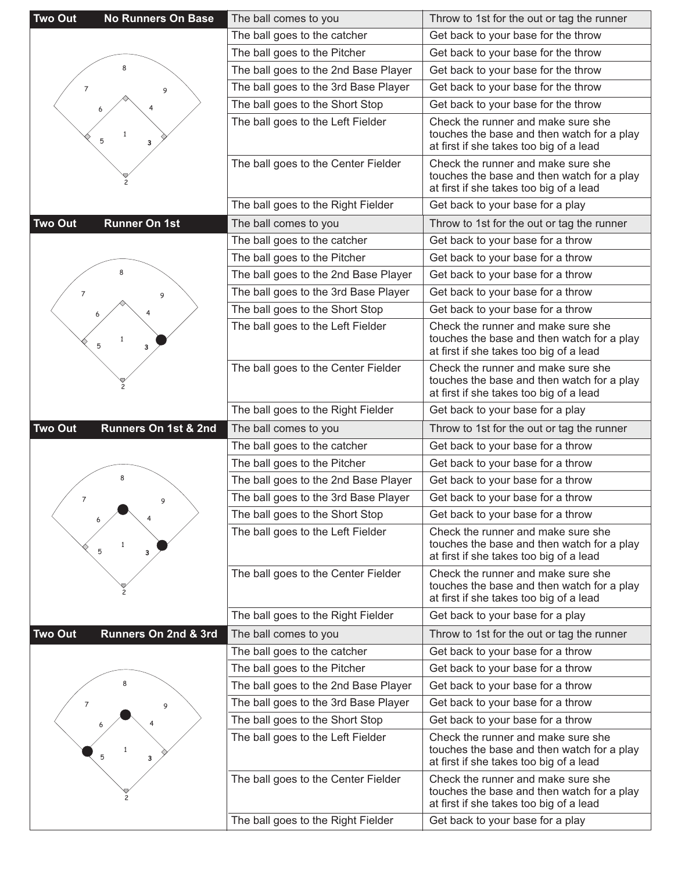| <b>Two Out</b><br><b>No Runners On Base</b> | The ball comes to you                | Throw to 1st for the out or tag the runner                                                                                  |
|---------------------------------------------|--------------------------------------|-----------------------------------------------------------------------------------------------------------------------------|
|                                             | The ball goes to the catcher         | Get back to your base for the throw                                                                                         |
|                                             | The ball goes to the Pitcher         | Get back to your base for the throw                                                                                         |
| 8                                           | The ball goes to the 2nd Base Player | Get back to your base for the throw                                                                                         |
| $\overline{7}$<br>9                         | The ball goes to the 3rd Base Player | Get back to your base for the throw                                                                                         |
|                                             | The ball goes to the Short Stop      | Get back to your base for the throw                                                                                         |
| $\mathbf{1}$<br>5<br>3                      | The ball goes to the Left Fielder    | Check the runner and make sure she<br>touches the base and then watch for a play<br>at first if she takes too big of a lead |
|                                             | The ball goes to the Center Fielder  | Check the runner and make sure she<br>touches the base and then watch for a play<br>at first if she takes too big of a lead |
|                                             | The ball goes to the Right Fielder   | Get back to your base for a play                                                                                            |
| <b>Two Out</b><br><b>Runner On 1st</b>      | The ball comes to you                | Throw to 1st for the out or tag the runner                                                                                  |
|                                             | The ball goes to the catcher         | Get back to your base for a throw                                                                                           |
|                                             | The ball goes to the Pitcher         | Get back to your base for a throw                                                                                           |
|                                             | The ball goes to the 2nd Base Player | Get back to your base for a throw                                                                                           |
| $\overline{7}$<br>9                         | The ball goes to the 3rd Base Player | Get back to your base for a throw                                                                                           |
|                                             | The ball goes to the Short Stop      | Get back to your base for a throw                                                                                           |
| 5<br>3                                      | The ball goes to the Left Fielder    | Check the runner and make sure she<br>touches the base and then watch for a play<br>at first if she takes too big of a lead |
|                                             | The ball goes to the Center Fielder  | Check the runner and make sure she<br>touches the base and then watch for a play<br>at first if she takes too big of a lead |
|                                             | The ball goes to the Right Fielder   | Get back to your base for a play                                                                                            |
|                                             |                                      |                                                                                                                             |
| <b>Two Out</b><br>Runners On 1st & 2nd      | The ball comes to you                | Throw to 1st for the out or tag the runner                                                                                  |
|                                             | The ball goes to the catcher         | Get back to your base for a throw                                                                                           |
|                                             | The ball goes to the Pitcher         | Get back to your base for a throw                                                                                           |
| 8                                           | The ball goes to the 2nd Base Player | Get back to your base for a throw                                                                                           |
| 7<br>9                                      | The ball goes to the 3rd Base Player | Get back to your base for a throw                                                                                           |
| 6                                           | The ball goes to the Short Stop      | Get back to your base for a throw                                                                                           |
| $\mathbf{1}$<br>5<br>3                      | The ball goes to the Left Fielder    | Check the runner and make sure she<br>touches the base and then watch for a play<br>at first if she takes too big of a lead |
|                                             | The ball goes to the Center Fielder  | Check the runner and make sure she<br>touches the base and then watch for a play<br>at first if she takes too big of a lead |
|                                             | The ball goes to the Right Fielder   | Get back to your base for a play                                                                                            |
| <b>Two Out</b><br>Runners On 2nd & 3rd      | The ball comes to you                | Throw to 1st for the out or tag the runner                                                                                  |
|                                             | The ball goes to the catcher         | Get back to your base for a throw                                                                                           |
|                                             | The ball goes to the Pitcher         | Get back to your base for a throw                                                                                           |
|                                             | The ball goes to the 2nd Base Player | Get back to your base for a throw                                                                                           |
| 7<br>9                                      | The ball goes to the 3rd Base Player | Get back to your base for a throw                                                                                           |
|                                             | The ball goes to the Short Stop      | Get back to your base for a throw                                                                                           |
| 5<br>3                                      | The ball goes to the Left Fielder    | Check the runner and make sure she<br>touches the base and then watch for a play<br>at first if she takes too big of a lead |
|                                             | The ball goes to the Center Fielder  | Check the runner and make sure she<br>touches the base and then watch for a play<br>at first if she takes too big of a lead |